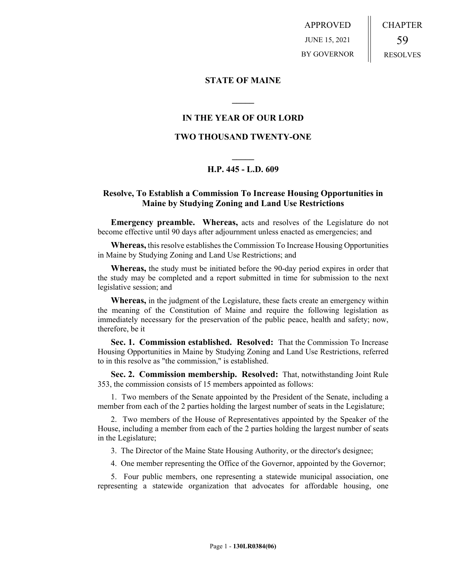APPROVED JUNE 15, 2021 BY GOVERNOR CHAPTER 59 RESOLVES

## **STATE OF MAINE**

## **IN THE YEAR OF OUR LORD**

**\_\_\_\_\_**

## **TWO THOUSAND TWENTY-ONE**

# **\_\_\_\_\_ H.P. 445 - L.D. 609**

## **Resolve, To Establish a Commission To Increase Housing Opportunities in Maine by Studying Zoning and Land Use Restrictions**

**Emergency preamble. Whereas,** acts and resolves of the Legislature do not become effective until 90 days after adjournment unless enacted as emergencies; and

**Whereas,** this resolve establishes the Commission To Increase Housing Opportunities in Maine by Studying Zoning and Land Use Restrictions; and

**Whereas,** the study must be initiated before the 90-day period expires in order that the study may be completed and a report submitted in time for submission to the next legislative session; and

**Whereas,** in the judgment of the Legislature, these facts create an emergency within the meaning of the Constitution of Maine and require the following legislation as immediately necessary for the preservation of the public peace, health and safety; now, therefore, be it

**Sec. 1. Commission established. Resolved:** That the Commission To Increase Housing Opportunities in Maine by Studying Zoning and Land Use Restrictions, referred to in this resolve as "the commission," is established.

**Sec. 2. Commission membership. Resolved:** That, notwithstanding Joint Rule 353, the commission consists of 15 members appointed as follows:

1. Two members of the Senate appointed by the President of the Senate, including a member from each of the 2 parties holding the largest number of seats in the Legislature;

2. Two members of the House of Representatives appointed by the Speaker of the House, including a member from each of the 2 parties holding the largest number of seats in the Legislature;

3. The Director of the Maine State Housing Authority, or the director's designee;

4. One member representing the Office of the Governor, appointed by the Governor;

5. Four public members, one representing a statewide municipal association, one representing a statewide organization that advocates for affordable housing, one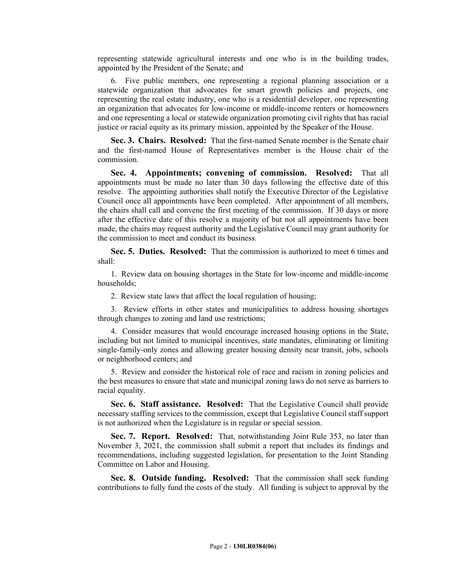representing statewide agricultural interests and one who is in the building trades, appointed by the President of the Senate; and

6. Five public members, one representing a regional planning association or a statewide organization that advocates for smart growth policies and projects, one representing the real estate industry, one who is a residential developer, one representing an organization that advocates for low-income or middle-income renters or homeowners and one representing a local or statewide organization promoting civil rights that has racial justice or racial equity as its primary mission, appointed by the Speaker of the House.

**Sec. 3. Chairs. Resolved:** That the first-named Senate member is the Senate chair and the first-named House of Representatives member is the House chair of the commission.

**Sec. 4. Appointments; convening of commission. Resolved:** That all appointments must be made no later than 30 days following the effective date of this resolve. The appointing authorities shall notify the Executive Director of the Legislative Council once all appointments have been completed. After appointment of all members, the chairs shall call and convene the first meeting of the commission. If 30 days or more after the effective date of this resolve a majority of but not all appointments have been made, the chairs may request authority and the Legislative Council may grant authority for the commission to meet and conduct its business.

**Sec. 5. Duties. Resolved:** That the commission is authorized to meet 6 times and shall:

1. Review data on housing shortages in the State for low-income and middle-income households;

2. Review state laws that affect the local regulation of housing;

3. Review efforts in other states and municipalities to address housing shortages through changes to zoning and land use restrictions;

4. Consider measures that would encourage increased housing options in the State, including but not limited to municipal incentives, state mandates, eliminating or limiting single-family-only zones and allowing greater housing density near transit, jobs, schools or neighborhood centers; and

5. Review and consider the historical role of race and racism in zoning policies and the best measures to ensure that state and municipal zoning laws do not serve as barriers to racial equality.

**Sec. 6. Staff assistance. Resolved:** That the Legislative Council shall provide necessary staffing services to the commission, except that Legislative Council staff support is not authorized when the Legislature is in regular or special session.

**Sec. 7. Report. Resolved:** That, notwithstanding Joint Rule 353, no later than November 3, 2021, the commission shall submit a report that includes its findings and recommendations, including suggested legislation, for presentation to the Joint Standing Committee on Labor and Housing.

**Sec. 8. Outside funding. Resolved:** That the commission shall seek funding contributions to fully fund the costs of the study. All funding is subject to approval by the